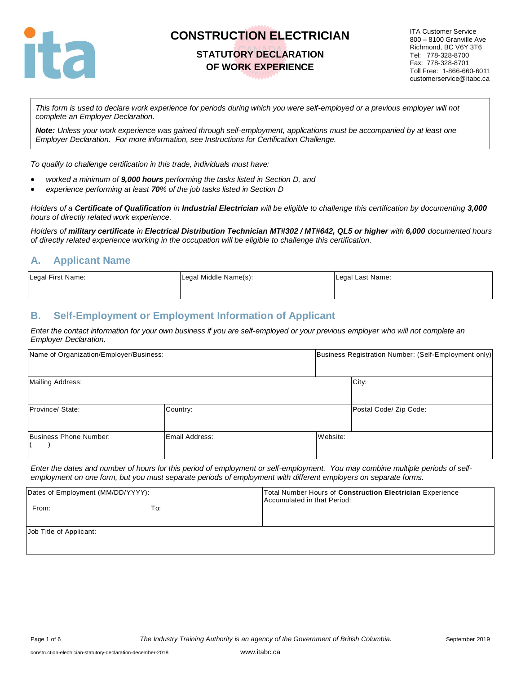

## **STATUTORY DECLARATION OF WORK EXPERIENCE**

ITA Customer Service 800 – 8100 Granville Ave Richmond, BC V6Y 3T6 Tel: 778-328-8700 Fax: 778-328-8701 Toll Free: 1-866-660-6011 customerservice@itabc.ca

*This form is used to declare work experience for periods during which you were self-employed or a previous employer will not complete an Employer Declaration.* 

*Note: Unless your work experience was gained through self-employment, applications must be accompanied by at least one Employer Declaration. For more information, see Instructions for Certification Challenge.*

*To qualify to challenge certification in this trade, individuals must have:*

- *worked a minimum of 9,000 hours performing the tasks listed in Section D, and*
- *experience performing at least 70% of the job tasks listed in Section D*

*Holders of a Certificate of Qualification in Industrial Electrician will be eligible to challenge this certification by documenting 3,000 hours of directly related work experience.* 

*Holders of military certificate in Electrical Distribution Technician MT#302 / MT#642, QL5 or higher with 6,000 documented hours of directly related experience working in the occupation will be eligible to challenge this certification.*

#### **A. Applicant Name**

| Legal First Name: | Legal Middle Name(s): | Legal Last Name: |
|-------------------|-----------------------|------------------|
|                   |                       |                  |

#### **B. Self-Employment or Employment Information of Applicant**

*Enter the contact information for your own business if you are self-employed or your previous employer who will not complete an Employer Declaration.*

| Name of Organization/Employer/Business: |                |          | Business Registration Number: (Self-Employment only) |
|-----------------------------------------|----------------|----------|------------------------------------------------------|
| Mailing Address:                        |                |          | City:                                                |
| Province/ State:                        | Country:       |          | Postal Code/ Zip Code:                               |
| Business Phone Number:                  | Email Address: | Website: |                                                      |

*Enter the dates and number of hours for this period of employment or self-employment. You may combine multiple periods of selfemployment on one form, but you must separate periods of employment with different employers on separate forms.*

| Dates of Employment (MM/DD/YYYY): |     | Total Number Hours of Construction Electrician Experience<br>Accumulated in that Period: |
|-----------------------------------|-----|------------------------------------------------------------------------------------------|
| From:                             | To: |                                                                                          |
| Job Title of Applicant:           |     |                                                                                          |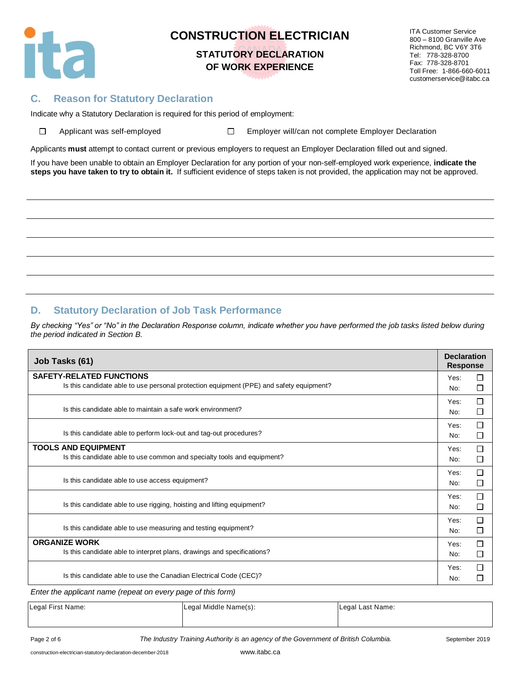

### **STATUTORY DECLARATION OF WORK EXPERIENCE**

ITA Customer Service 800 – 8100 Granville Ave Richmond, BC V6Y 3T6 Tel: 778-328-8700 Fax: 778-328-8701 Toll Free: 1-866-660-6011 customerservice@itabc.ca

#### **C. Reason for Statutory Declaration**

Indicate why a Statutory Declaration is required for this period of employment:

| $\Box$ | Applicant was self-emp |  |  |
|--------|------------------------|--|--|
|        |                        |  |  |

Applicant was self-employed Employer Employer will/can not complete Employer Declaration

Applicants **must** attempt to contact current or previous employers to request an Employer Declaration filled out and signed.

If you have been unable to obtain an Employer Declaration for any portion of your non-self-employed work experience, **indicate the steps you have taken to try to obtain it.** If sufficient evidence of steps taken is not provided, the application may not be approved.

#### **D. Statutory Declaration of Job Task Performance**

*By checking "Yes" or "No" in the Declaration Response column, indicate whether you have performed the job tasks listed below during the period indicated in Section B.*

| <b>SAFETY-RELATED FUNCTIONS</b><br>Yes:<br>Is this candidate able to use personal protection equipment (PPE) and safety equipment?<br>No:<br>Yes:<br>Is this candidate able to maintain a safe work environment?<br>No:<br>Yes:<br>Is this candidate able to perform lock-out and tag-out procedures?<br>No:<br><b>TOOLS AND EQUIPMENT</b><br>Yes:<br>Is this candidate able to use common and specialty tools and equipment?<br>No:<br>Yes:<br>Is this candidate able to use access equipment?<br>No:<br>Yes:<br>Is this candidate able to use rigging, hoisting and lifting equipment?<br>No:<br>Yes:<br>Is this candidate able to use measuring and testing equipment? | Job Tasks (61) |  | <b>Declaration</b><br><b>Response</b> |
|---------------------------------------------------------------------------------------------------------------------------------------------------------------------------------------------------------------------------------------------------------------------------------------------------------------------------------------------------------------------------------------------------------------------------------------------------------------------------------------------------------------------------------------------------------------------------------------------------------------------------------------------------------------------------|----------------|--|---------------------------------------|
|                                                                                                                                                                                                                                                                                                                                                                                                                                                                                                                                                                                                                                                                           |                |  | П                                     |
|                                                                                                                                                                                                                                                                                                                                                                                                                                                                                                                                                                                                                                                                           |                |  | □                                     |
|                                                                                                                                                                                                                                                                                                                                                                                                                                                                                                                                                                                                                                                                           |                |  | □                                     |
|                                                                                                                                                                                                                                                                                                                                                                                                                                                                                                                                                                                                                                                                           |                |  | $\Box$                                |
|                                                                                                                                                                                                                                                                                                                                                                                                                                                                                                                                                                                                                                                                           |                |  | □                                     |
|                                                                                                                                                                                                                                                                                                                                                                                                                                                                                                                                                                                                                                                                           |                |  | □                                     |
|                                                                                                                                                                                                                                                                                                                                                                                                                                                                                                                                                                                                                                                                           |                |  | □                                     |
|                                                                                                                                                                                                                                                                                                                                                                                                                                                                                                                                                                                                                                                                           |                |  | □                                     |
|                                                                                                                                                                                                                                                                                                                                                                                                                                                                                                                                                                                                                                                                           |                |  | $\Box$                                |
|                                                                                                                                                                                                                                                                                                                                                                                                                                                                                                                                                                                                                                                                           |                |  | □                                     |
|                                                                                                                                                                                                                                                                                                                                                                                                                                                                                                                                                                                                                                                                           |                |  | $\Box$                                |
|                                                                                                                                                                                                                                                                                                                                                                                                                                                                                                                                                                                                                                                                           |                |  | □                                     |
|                                                                                                                                                                                                                                                                                                                                                                                                                                                                                                                                                                                                                                                                           |                |  | □                                     |
|                                                                                                                                                                                                                                                                                                                                                                                                                                                                                                                                                                                                                                                                           | No:            |  | □                                     |
| <b>ORGANIZE WORK</b><br>Yes:                                                                                                                                                                                                                                                                                                                                                                                                                                                                                                                                                                                                                                              |                |  | $\Box$                                |
| Is this candidate able to interpret plans, drawings and specifications?<br>No:                                                                                                                                                                                                                                                                                                                                                                                                                                                                                                                                                                                            |                |  | $\Box$                                |
| Yes:                                                                                                                                                                                                                                                                                                                                                                                                                                                                                                                                                                                                                                                                      |                |  | □                                     |
| Is this candidate able to use the Canadian Electrical Code (CEC)?<br>No:                                                                                                                                                                                                                                                                                                                                                                                                                                                                                                                                                                                                  |                |  | П                                     |

*Enter the applicant name (repeat on every page of this form)*

| Legal First Name: | Legal Middle Name(s): | Legal Last Name: |
|-------------------|-----------------------|------------------|
|                   |                       |                  |

Page 2 of 6 **The Industry Training Authority is an agency of the Government of British Columbia.** September 2019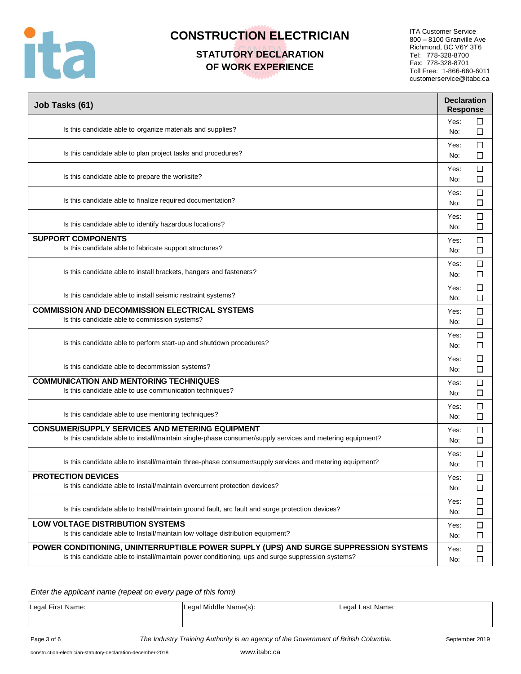

# **STATUTORY DECLARATION OF WORK EXPERIENCE**

ITA Customer Service 800 – 8100 Granville Ave Richmond, BC V6Y 3T6 Tel: 778-328-8700 Fax: 778-328-8701 Toll Free: 1-866-660-6011 customerservice@itabc.ca

| Job Tasks (61)                                                                                                                                                                            | <b>Declaration</b><br><b>Response</b> |
|-------------------------------------------------------------------------------------------------------------------------------------------------------------------------------------------|---------------------------------------|
| Is this candidate able to organize materials and supplies?                                                                                                                                | □<br>Yes:<br>$\Box$<br>No:            |
| Is this candidate able to plan project tasks and procedures?                                                                                                                              | □<br>Yes:<br>□<br>No:                 |
| Is this candidate able to prepare the worksite?                                                                                                                                           | $\Box$<br>Yes:<br>□<br>No:            |
| Is this candidate able to finalize required documentation?                                                                                                                                | $\Box$<br>Yes:<br>□<br>No:            |
| Is this candidate able to identify hazardous locations?                                                                                                                                   | □<br>Yes:<br>□<br>No:                 |
| <b>SUPPORT COMPONENTS</b><br>Is this candidate able to fabricate support structures?                                                                                                      | □<br>Yes:<br>□<br>No:                 |
| Is this candidate able to install brackets, hangers and fasteners?                                                                                                                        | $\Box$<br>Yes:<br>$\Box$<br>No:       |
| Is this candidate able to install seismic restraint systems?                                                                                                                              | □<br>Yes:<br>□<br>No:                 |
| <b>COMMISSION AND DECOMMISSION ELECTRICAL SYSTEMS</b><br>Is this candidate able to commission systems?                                                                                    | □<br>Yes:<br>□<br>No:                 |
| Is this candidate able to perform start-up and shutdown procedures?                                                                                                                       | □<br>Yes:<br>No:<br>⊔                 |
| Is this candidate able to decommission systems?                                                                                                                                           | □<br>Yes:<br>□<br>No:                 |
| <b>COMMUNICATION AND MENTORING TECHNIQUES</b><br>Is this candidate able to use communication techniques?                                                                                  | □<br>Yes:<br>□<br>No:                 |
| Is this candidate able to use mentoring techniques?                                                                                                                                       | □<br>Yes:<br>□<br>No:                 |
| <b>CONSUMER/SUPPLY SERVICES AND METERING EQUIPMENT</b><br>Is this candidate able to install/maintain single-phase consumer/supply services and metering equipment?                        | □<br>Yes:<br>□<br>No:                 |
| Is this candidate able to install/maintain three-phase consumer/supply services and metering equipment?                                                                                   | □<br>Yes:<br>□<br>No:                 |
| <b>PROTECTION DEVICES</b><br>Is this candidate able to Install/maintain overcurrent protection devices?                                                                                   | Yes:<br>⊔<br>□<br>No:                 |
| Is this candidate able to Install/maintain ground fault, arc fault and surge protection devices?                                                                                          | $\Box$<br>Yes:<br>□<br>No:            |
| <b>LOW VOLTAGE DISTRIBUTION SYSTEMS</b><br>Is this candidate able to Install/maintain low voltage distribution equipment?                                                                 | $\Box$<br>Yes:<br>$\Box$<br>No:       |
| POWER CONDITIONING, UNINTERRUPTIBLE POWER SUPPLY (UPS) AND SURGE SUPPRESSION SYSTEMS<br>Is this candidate able to install/maintain power conditioning, ups and surge suppression systems? | □<br>Yes:<br>$\Box$<br>No:            |

*Enter the applicant name (repeat on every page of this form)*

| Legal First Name: | Legal Middle Name(s): | Legal Last Name: |
|-------------------|-----------------------|------------------|
|                   |                       |                  |

Page 3 of 6 **The Industry Training Authority is an agency of the Government of British Columbia.** September 2019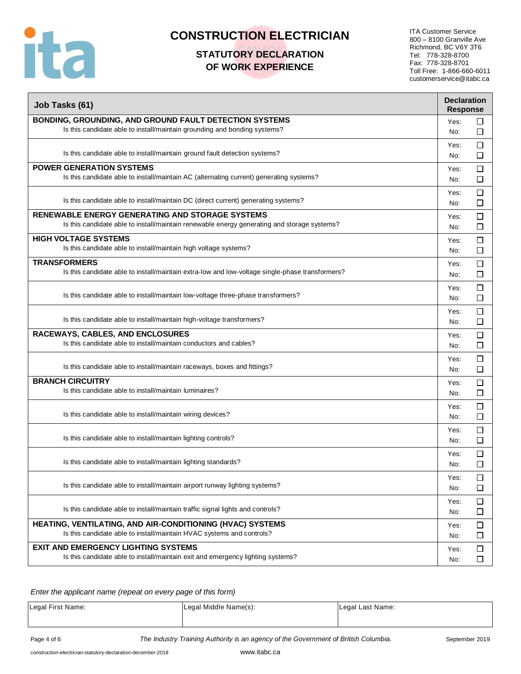

# **STATUTORY DECLARATION OF WORK EXPERIENCE**

ITA Customer Service 800 – 8100 Granville Ave Richmond, BC V6Y 3T6 Tel: 778-328-8700 Fax: 778-328-8701 Toll Free: 1-866-660-6011 customerservice@itabc.ca

| Job Tasks (61)                                                                                                                                        | <b>Declaration</b><br><b>Response</b> |
|-------------------------------------------------------------------------------------------------------------------------------------------------------|---------------------------------------|
| BONDING, GROUNDING, AND GROUND FAULT DETECTION SYSTEMS<br>Is this candidate able to install/maintain grounding and bonding systems?                   | Yes:<br>□<br>$\Box$<br>No:            |
| Is this candidate able to install/maintain ground fault detection systems?                                                                            | □<br>Yes:<br>□<br>No:                 |
| <b>POWER GENERATION SYSTEMS</b><br>Is this candidate able to install/maintain AC (alternating current) generating systems?                            | □<br>Yes:<br>□<br>No:                 |
| Is this candidate able to install/maintain DC (direct current) generating systems?                                                                    | $\Box$<br>Yes:<br>□<br>No:            |
| <b>RENEWABLE ENERGY GENERATING AND STORAGE SYSTEMS</b><br>Is this candidate able to install/maintain renewable energy generating and storage systems? | □<br>Yes:<br>□<br>No:                 |
| <b>HIGH VOLTAGE SYSTEMS</b><br>Is this candidate able to install/maintain high voltage systems?                                                       | $\Box$<br>Yes:<br>□<br>No:            |
| <b>TRANSFORMERS</b><br>Is this candidate able to install/maintain extra-low and low-voltage single-phase transformers?                                | □<br>Yes:<br>□<br>No:                 |
| Is this candidate able to install/maintain low-voltage three-phase transformers?                                                                      | □<br>Yes:<br>□<br>No:                 |
| Is this candidate able to install/maintain high-voltage transformers?                                                                                 | $\Box$<br>Yes:<br>□<br>No:            |
| RACEWAYS, CABLES, AND ENCLOSURES<br>Is this candidate able to install/maintain conductors and cables?                                                 | $\Box$<br>Yes:<br>□<br>No:            |
| Is this candidate able to install/maintain raceways, boxes and fittings?                                                                              | □<br>Yes:<br>□<br>No:                 |
| <b>BRANCH CIRCUITRY</b><br>Is this candidate able to install/maintain luminaires?                                                                     | $\Box$<br>Yes:<br>□<br>No:            |
| Is this candidate able to install/maintain wiring devices?                                                                                            | $\Box$<br>Yes:<br>□<br>No:            |
| Is this candidate able to install/maintain lighting controls?                                                                                         | $\Box$<br>Yes:<br>□<br>No:            |
| Is this candidate able to install/maintain lighting standards?                                                                                        | $\Box$<br>Yes:<br>□<br>No:            |
| Is this candidate able to install/maintain airport runway lighting systems?                                                                           | $\Box$<br>Yes:<br>$\Box$<br>No:       |
| Is this candidate able to install/maintain traffic signal lights and controls?                                                                        | $\Box$<br>Yes:<br>□<br>No:            |
| HEATING, VENTILATING, AND AIR-CONDITIONING (HVAC) SYSTEMS<br>Is this candidate able to install/maintain HVAC systems and controls?                    | $\Box$<br>Yes:<br>□<br>No:            |
| <b>EXIT AND EMERGENCY LIGHTING SYSTEMS</b><br>Is this candidate able to install/maintain exit and emergency lighting systems?                         | $\Box$<br>Yes:<br>$\Box$<br>No:       |

*Enter the applicant name (repeat on every page of this form)*

| Legal First Name: | Legal Middle Name(s): | Legal Last Name: |
|-------------------|-----------------------|------------------|
|                   |                       |                  |

Page 4 of 6 **The Industry Training Authority is an agency of the Government of British Columbia.** September 2019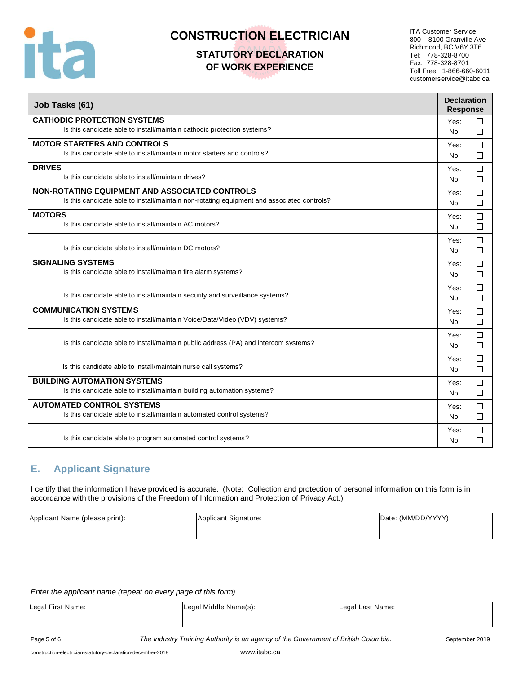

# **STATUTORY DECLARATION OF WORK EXPERIENCE**

ITA Customer Service 800 – 8100 Granville Ave Richmond, BC V6Y 3T6 Tel: 778-328-8700 Fax: 778-328-8701 Toll Free: 1-866-660-6011 customerservice@itabc.ca

| Job Tasks (61)                                                                             | <b>Declaration</b><br><b>Response</b> |        |
|--------------------------------------------------------------------------------------------|---------------------------------------|--------|
| <b>CATHODIC PROTECTION SYSTEMS</b>                                                         | Yes:                                  | $\Box$ |
| Is this candidate able to install/maintain cathodic protection systems?                    | No:                                   | □      |
| <b>MOTOR STARTERS AND CONTROLS</b>                                                         | Yes:                                  | $\Box$ |
| Is this candidate able to install/maintain motor starters and controls?                    | No:                                   | П      |
| <b>DRIVES</b>                                                                              | Yes:                                  | $\Box$ |
| Is this candidate able to install/maintain drives?                                         | No:                                   | □      |
| <b>NON-ROTATING EQUIPMENT AND ASSOCIATED CONTROLS</b>                                      | Yes:                                  | $\Box$ |
| Is this candidate able to install/maintain non-rotating equipment and associated controls? | No:                                   | □      |
| <b>MOTORS</b>                                                                              | Yes:                                  | П      |
| Is this candidate able to install/maintain AC motors?                                      | No:                                   | $\Box$ |
|                                                                                            | Yes:                                  | □      |
| Is this candidate able to install/maintain DC motors?                                      | No:                                   | П      |
| <b>SIGNALING SYSTEMS</b>                                                                   | Yes:                                  | $\Box$ |
| Is this candidate able to install/maintain fire alarm systems?                             | No:                                   | $\Box$ |
|                                                                                            | Yes:                                  | $\Box$ |
| Is this candidate able to install/maintain security and surveillance systems?              | No:                                   | □      |
| <b>COMMUNICATION SYSTEMS</b>                                                               | Yes:                                  | □      |
| Is this candidate able to install/maintain Voice/Data/Video (VDV) systems?                 | No:                                   | □      |
|                                                                                            | Yes:                                  | П      |
| Is this candidate able to install/maintain public address (PA) and intercom systems?       | No:                                   | П      |
|                                                                                            | Yes:                                  | □      |
| Is this candidate able to install/maintain nurse call systems?                             | No:                                   | $\Box$ |
| <b>BUILDING AUTOMATION SYSTEMS</b>                                                         | Yes:                                  | П      |
| Is this candidate able to install/maintain building automation systems?                    | No:                                   | □      |
| <b>AUTOMATED CONTROL SYSTEMS</b>                                                           | Yes:                                  | $\Box$ |
| Is this candidate able to install/maintain automated control systems?                      | No:                                   | □      |
|                                                                                            | Yes:                                  | □      |
| Is this candidate able to program automated control systems?                               | No:                                   | П      |

### **E. Applicant Signature**

I certify that the information I have provided is accurate. (Note: Collection and protection of personal information on this form is in accordance with the provisions of the Freedom of Information and Protection of Privacy Act.)

| Applicant Name (please print): | Applicant Signature: | Date: (MM/DD/YYYY) |
|--------------------------------|----------------------|--------------------|
|                                |                      |                    |

*Enter the applicant name (repeat on every page of this form)*

| Legal First Name: | Legal Middle Name(s): | Legal Last Name: |
|-------------------|-----------------------|------------------|
|                   |                       |                  |

Page 5 of 6 *The Industry Training Authority is an agency of the Government of British Columbia.* September 2019